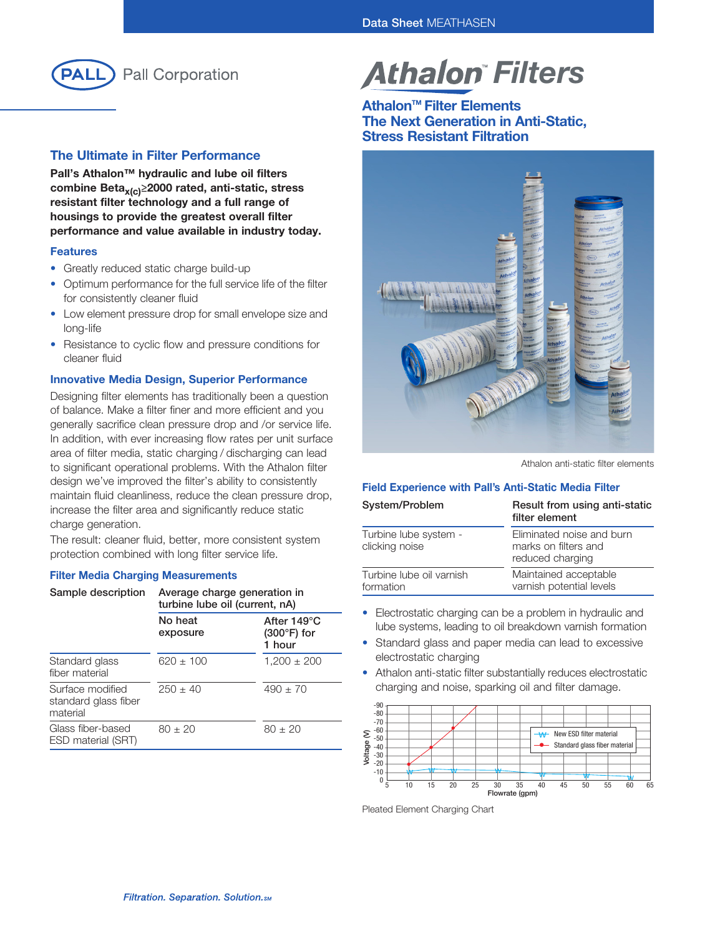

## The Ultimate in Filter Performance

Pall's Athalon™ hydraulic and lube oil filters combine Beta $_{x(c)} \ge 2000$  rated, anti-static, stress resistant filter technology and a full range of housings to provide the greatest overall filter performance and value available in industry today.

#### Features

- Greatly reduced static charge build-up
- Optimum performance for the full service life of the filter for consistently cleaner fluid
- Low element pressure drop for small envelope size and long-life
- Resistance to cyclic flow and pressure conditions for cleaner fluid

#### Innovative Media Design, Superior Performance

Designing filter elements has traditionally been a question of balance. Make a filter finer and more efficient and you generally sacrifice clean pressure drop and /or service life. In addition, with ever increasing flow rates per unit surface area of filter media, static charging / discharging can lead to significant operational problems. With the Athalon filter design we've improved the filter's ability to consistently maintain fluid cleanliness, reduce the clean pressure drop, increase the filter area and significantly reduce static charge generation.

The result: cleaner fluid, better, more consistent system protection combined with long filter service life.

#### Filter Media Charging Measurements

| Sample description                                   | Average charge generation in<br>turbine lube oil (current, nA) |                                               |  |
|------------------------------------------------------|----------------------------------------------------------------|-----------------------------------------------|--|
|                                                      | No heat<br>exposure                                            | After 149°C<br>$(300^{\circ}F)$ for<br>1 hour |  |
| Standard glass<br>fiber material                     | $620 \pm 100$                                                  | $1,200 \pm 200$                               |  |
| Surface modified<br>standard glass fiber<br>material | $250 + 40$                                                     | $490 \pm 70$                                  |  |
| Glass fiber-based<br>ESD material (SRT)              | $80 + 20$                                                      | $80 \pm 20$                                   |  |

# **Athalon Filters**

# Athalon<sup>™</sup> Filter Elements The Next Generation in Anti-Static, Stress Resistant Filtration



Athalon anti-static filter elements

### Field Experience with Pall's Anti-Static Media Filter

| System/Problem                          | Result from using anti-static<br>filter element                       |
|-----------------------------------------|-----------------------------------------------------------------------|
| Turbine lube system -<br>clicking noise | Eliminated noise and burn<br>marks on filters and<br>reduced charging |
| Turbine lube oil varnish<br>formation   | Maintained acceptable<br>varnish potential levels                     |

- Electrostatic charging can be a problem in hydraulic and lube systems, leading to oil breakdown varnish formation
- Standard glass and paper media can lead to excessive electrostatic charging
- Athalon anti-static filter substantially reduces electrostatic charging and noise, sparking oil and filter damage.



Pleated Element Charging Chart